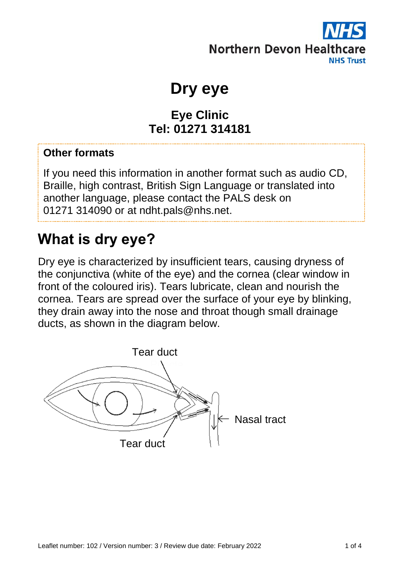

**Dry eye**

#### **Eye Clinic Tel: 01271 314181**

#### **Other formats**

If you need this information in another format such as audio CD, Braille, high contrast, British Sign Language or translated into another language, please contact the PALS desk on 01271 314090 or at ndht.pals@nhs.net.

#### **What is dry eye?**

Dry eye is characterized by insufficient tears, causing dryness of the conjunctiva (white of the eye) and the cornea (clear window in front of the coloured iris). Tears lubricate, clean and nourish the cornea. Tears are spread over the surface of your eye by blinking, they drain away into the nose and throat though small drainage ducts, as shown in the diagram below.

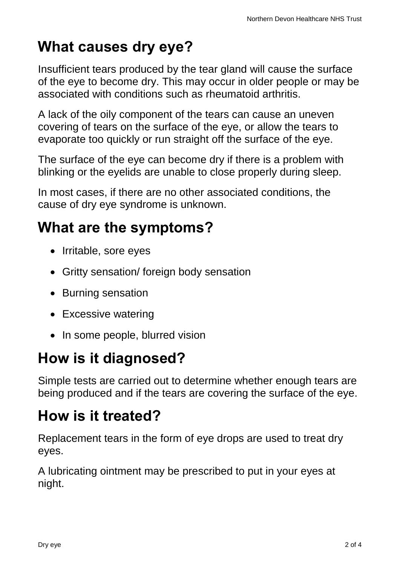# **What causes dry eye?**

Insufficient tears produced by the tear gland will cause the surface of the eye to become dry. This may occur in older people or may be associated with conditions such as rheumatoid arthritis.

A lack of the oily component of the tears can cause an uneven covering of tears on the surface of the eye, or allow the tears to evaporate too quickly or run straight off the surface of the eye.

The surface of the eye can become dry if there is a problem with blinking or the eyelids are unable to close properly during sleep.

In most cases, if there are no other associated conditions, the cause of dry eye syndrome is unknown.

# **What are the symptoms?**

- Irritable, sore eyes
- Gritty sensation/ foreign body sensation
- Burning sensation
- Excessive watering
- In some people, blurred vision

## **How is it diagnosed?**

Simple tests are carried out to determine whether enough tears are being produced and if the tears are covering the surface of the eye.

## **How is it treated?**

Replacement tears in the form of eye drops are used to treat dry eyes.

A lubricating ointment may be prescribed to put in your eyes at night.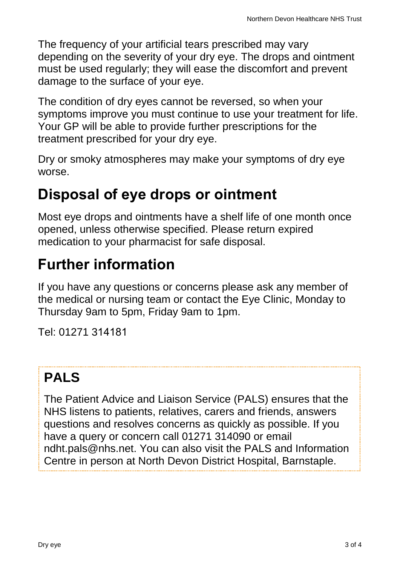The frequency of your artificial tears prescribed may vary depending on the severity of your dry eye. The drops and ointment must be used regularly; they will ease the discomfort and prevent damage to the surface of your eye.

The condition of dry eyes cannot be reversed, so when your symptoms improve you must continue to use your treatment for life. Your GP will be able to provide further prescriptions for the treatment prescribed for your dry eye.

Dry or smoky atmospheres may make your symptoms of dry eye worse.

### **Disposal of eye drops or ointment**

Most eye drops and ointments have a shelf life of one month once opened, unless otherwise specified. Please return expired medication to your pharmacist for safe disposal.

## **Further information**

If you have any questions or concerns please ask any member of the medical or nursing team or contact the Eye Clinic, Monday to Thursday 9am to 5pm, Friday 9am to 1pm.

Tel: 01271 314181

#### **PALS**

The Patient Advice and Liaison Service (PALS) ensures that the NHS listens to patients, relatives, carers and friends, answers questions and resolves concerns as quickly as possible. If you have a query or concern call 01271 314090 or email ndht.pals@nhs.net. You can also visit the PALS and Information Centre in person at North Devon District Hospital, Barnstaple.